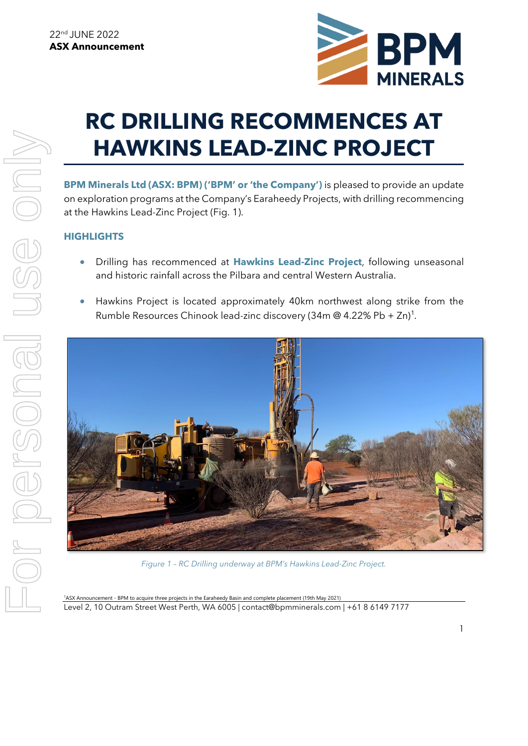

# **RC DRILLING RECOMMENCES AT HAWKINS LEAD-ZINC PROJECT**

**BPM Minerals Ltd (ASX: BPM) ('BPM' or 'the Company')** is pleased to provide an update on exploration programs at the Company's Earaheedy Projects, with drilling recommencing at the Hawkins Lead-Zinc Project (Fig. 1).

## **HIGHLIGHTS**

- Drilling has recommenced at **Hawkins Lead-Zinc Project**, following unseasonal and historic rainfall across the Pilbara and central Western Australia.
- Hawkins Project is located approximately 40km northwest along strike from the Rumble Resources Chinook lead-zinc discovery (34m @ 4.22% Pb + Zn)<sup>1</sup>.



*Figure 1 – RC Drilling underway at BPM's Hawkins Lead-Zinc Project.* 

Level 2, 10 Outram Street West Perth, WA 6005 | contact@bpmminerals.com | +61 8 6149 7177 <sup>1</sup>ASX Announcement - BPM to acquire three projects in the Earaheedy Basin and complete placement (19th May 2021)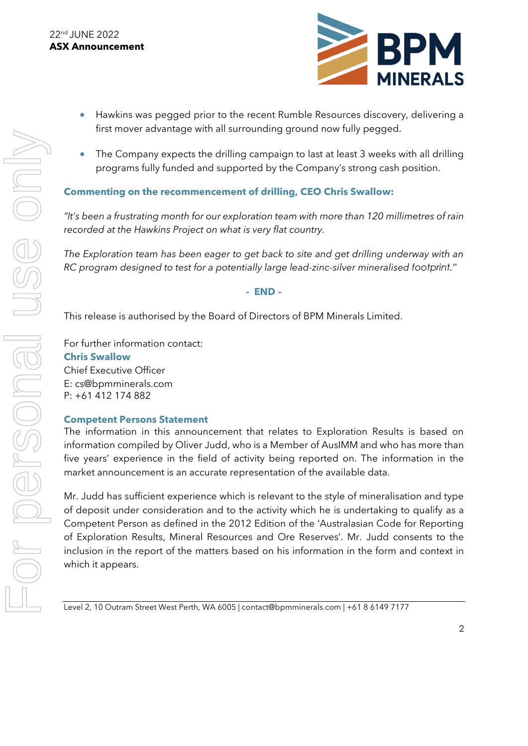

- Hawkins was pegged prior to the recent Rumble Resources discovery, delivering a first mover advantage with all surrounding ground now fully pegged.
- The Company expects the drilling campaign to last at least 3 weeks with all drilling programs fully funded and supported by the Company's strong cash position.

## **Commenting on the recommencement of drilling, CEO Chris Swallow:**

*"It's been a frustrating month for our exploration team with more than 120 millimetres of rain recorded at the Hawkins Project on what is very flat country.* 

*The Exploration team has been eager to get back to site and get drilling underway with an RC program designed to test for a potentially large lead-zinc-silver mineralised footprint."* 

### **- END –**

This release is authorised by the Board of Directors of BPM Minerals Limited.

For further information contact: **Chris Swallow**  Chief Executive Officer E: cs@bpmminerals.com P: +61 412 174 882

### **Competent Persons Statement**

The information in this announcement that relates to Exploration Results is based on information compiled by Oliver Judd, who is a Member of AusIMM and who has more than five years' experience in the field of activity being reported on. The information in the market announcement is an accurate representation of the available data.

Mr. Judd has sufficient experience which is relevant to the style of mineralisation and type of deposit under consideration and to the activity which he is undertaking to qualify as a Competent Person as defined in the 2012 Edition of the 'Australasian Code for Reporting of Exploration Results, Mineral Resources and Ore Reserves'. Mr. Judd consents to the inclusion in the report of the matters based on his information in the form and context in which it appears.